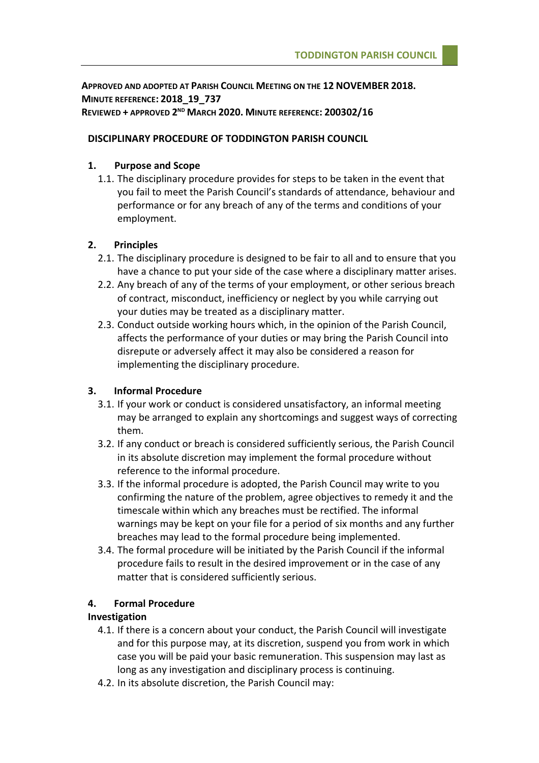**APPROVED AND ADOPTED AT PARISH COUNCIL MEETING ON THE 12 NOVEMBER 2018. MINUTE REFERENCE: 2018\_19\_737 REVIEWED + APPROVED 2 ND MARCH 2020. MINUTE REFERENCE: 200302/16**

### **DISCIPLINARY PROCEDURE OF TODDINGTON PARISH COUNCIL**

### **1. Purpose and Scope**

1.1. The disciplinary procedure provides for steps to be taken in the event that you fail to meet the Parish Council's standards of attendance, behaviour and performance or for any breach of any of the terms and conditions of your employment.

### **2. Principles**

- 2.1. The disciplinary procedure is designed to be fair to all and to ensure that you have a chance to put your side of the case where a disciplinary matter arises.
- 2.2. Any breach of any of the terms of your employment, or other serious breach of contract, misconduct, inefficiency or neglect by you while carrying out your duties may be treated as a disciplinary matter.
- 2.3. Conduct outside working hours which, in the opinion of the Parish Council, affects the performance of your duties or may bring the Parish Council into disrepute or adversely affect it may also be considered a reason for implementing the disciplinary procedure.

# **3. Informal Procedure**

- 3.1. If your work or conduct is considered unsatisfactory, an informal meeting may be arranged to explain any shortcomings and suggest ways of correcting them.
- 3.2. If any conduct or breach is considered sufficiently serious, the Parish Council in its absolute discretion may implement the formal procedure without reference to the informal procedure.
- 3.3. If the informal procedure is adopted, the Parish Council may write to you confirming the nature of the problem, agree objectives to remedy it and the timescale within which any breaches must be rectified. The informal warnings may be kept on your file for a period of six months and any further breaches may lead to the formal procedure being implemented.
- 3.4. The formal procedure will be initiated by the Parish Council if the informal procedure fails to result in the desired improvement or in the case of any matter that is considered sufficiently serious.

# **4. Formal Procedure**

# **Investigation**

- 4.1. If there is a concern about your conduct, the Parish Council will investigate and for this purpose may, at its discretion, suspend you from work in which case you will be paid your basic remuneration. This suspension may last as long as any investigation and disciplinary process is continuing.
- 4.2. In its absolute discretion, the Parish Council may: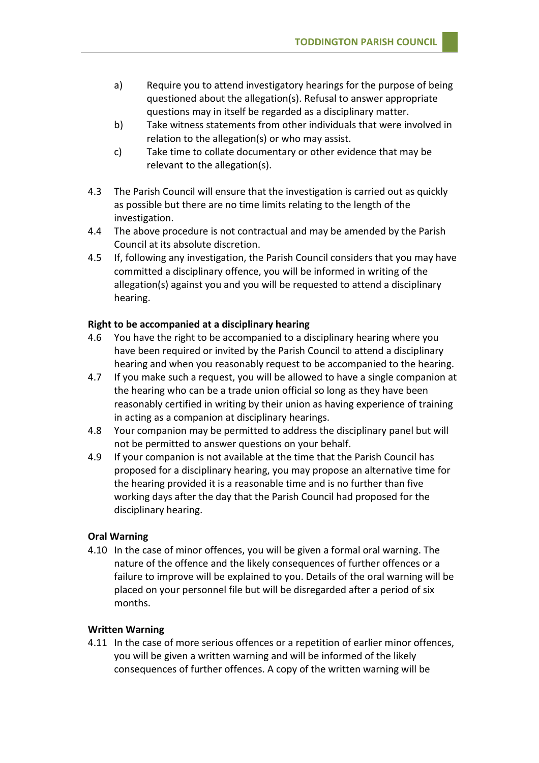- a) Require you to attend investigatory hearings for the purpose of being questioned about the allegation(s). Refusal to answer appropriate questions may in itself be regarded as a disciplinary matter.
- b) Take witness statements from other individuals that were involved in relation to the allegation(s) or who may assist.
- c) Take time to collate documentary or other evidence that may be relevant to the allegation(s).
- 4.3 The Parish Council will ensure that the investigation is carried out as quickly as possible but there are no time limits relating to the length of the investigation.
- 4.4 The above procedure is not contractual and may be amended by the Parish Council at its absolute discretion.
- 4.5 If, following any investigation, the Parish Council considers that you may have committed a disciplinary offence, you will be informed in writing of the allegation(s) against you and you will be requested to attend a disciplinary hearing.

### **Right to be accompanied at a disciplinary hearing**

- 4.6 You have the right to be accompanied to a disciplinary hearing where you have been required or invited by the Parish Council to attend a disciplinary hearing and when you reasonably request to be accompanied to the hearing.
- 4.7 If you make such a request, you will be allowed to have a single companion at the hearing who can be a trade union official so long as they have been reasonably certified in writing by their union as having experience of training in acting as a companion at disciplinary hearings.
- 4.8 Your companion may be permitted to address the disciplinary panel but will not be permitted to answer questions on your behalf.
- 4.9 If your companion is not available at the time that the Parish Council has proposed for a disciplinary hearing, you may propose an alternative time for the hearing provided it is a reasonable time and is no further than five working days after the day that the Parish Council had proposed for the disciplinary hearing.

#### **Oral Warning**

4.10 In the case of minor offences, you will be given a formal oral warning. The nature of the offence and the likely consequences of further offences or a failure to improve will be explained to you. Details of the oral warning will be placed on your personnel file but will be disregarded after a period of six months.

### **Written Warning**

4.11 In the case of more serious offences or a repetition of earlier minor offences, you will be given a written warning and will be informed of the likely consequences of further offences. A copy of the written warning will be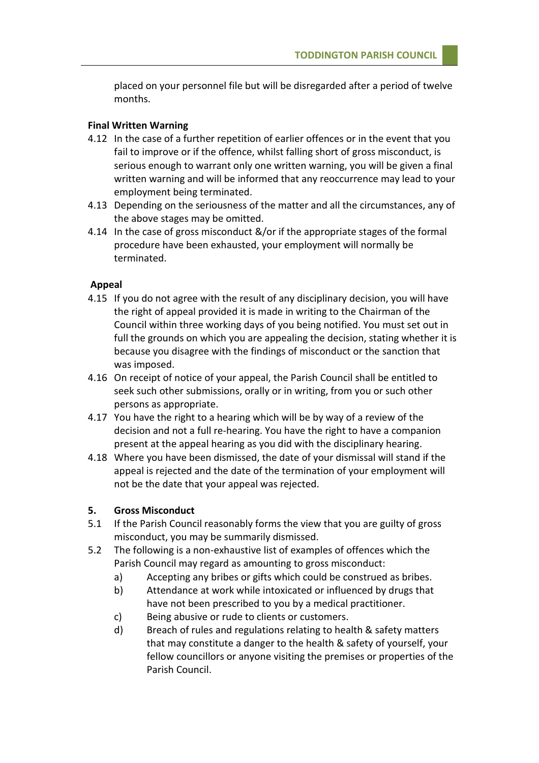placed on your personnel file but will be disregarded after a period of twelve months.

#### **Final Written Warning**

- 4.12 In the case of a further repetition of earlier offences or in the event that you fail to improve or if the offence, whilst falling short of gross misconduct, is serious enough to warrant only one written warning, you will be given a final written warning and will be informed that any reoccurrence may lead to your employment being terminated.
- 4.13 Depending on the seriousness of the matter and all the circumstances, any of the above stages may be omitted.
- 4.14 In the case of gross misconduct &/or if the appropriate stages of the formal procedure have been exhausted, your employment will normally be terminated.

### **Appeal**

- 4.15 If you do not agree with the result of any disciplinary decision, you will have the right of appeal provided it is made in writing to the Chairman of the Council within three working days of you being notified. You must set out in full the grounds on which you are appealing the decision, stating whether it is because you disagree with the findings of misconduct or the sanction that was imposed.
- 4.16 On receipt of notice of your appeal, the Parish Council shall be entitled to seek such other submissions, orally or in writing, from you or such other persons as appropriate.
- 4.17 You have the right to a hearing which will be by way of a review of the decision and not a full re-hearing. You have the right to have a companion present at the appeal hearing as you did with the disciplinary hearing.
- 4.18 Where you have been dismissed, the date of your dismissal will stand if the appeal is rejected and the date of the termination of your employment will not be the date that your appeal was rejected.

#### **5. Gross Misconduct**

- 5.1 If the Parish Council reasonably forms the view that you are guilty of gross misconduct, you may be summarily dismissed.
- 5.2 The following is a non-exhaustive list of examples of offences which the Parish Council may regard as amounting to gross misconduct:
	- a) Accepting any bribes or gifts which could be construed as bribes.
	- b) Attendance at work while intoxicated or influenced by drugs that have not been prescribed to you by a medical practitioner.
	- c) Being abusive or rude to clients or customers.
	- d) Breach of rules and regulations relating to health & safety matters that may constitute a danger to the health & safety of yourself, your fellow councillors or anyone visiting the premises or properties of the Parish Council.